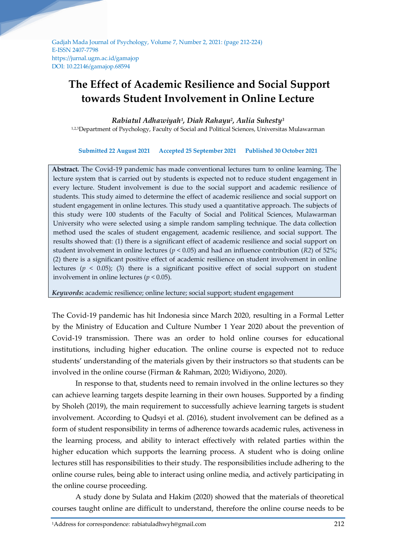Gadjah Mada Journal of Psychology, Volume 7, Number 2, 2021: (page 212-224) E-ISSN 2407-7798 https://jurnal.ugm.ac.id/gamajop DOI: 10.22146/gamajop.68594

# **The Effect of Academic Resilience and Social Support towards Student Involvement in Online Lecture**

*Rabiatul Adhawiyah<sup>1</sup> , Diah Rahayu<sup>2</sup> , Aulia Suhesty<sup>3</sup>*

1,2,3Department of Psychology, Faculty of Social and Political Sciences, Universitas Mulawarman

**Submitted 22 August 2021 Accepted 25 September 2021 Published 30 October 2021**

**Abstract.** The Covid-19 pandemic has made conventional lectures turn to online learning. The lecture system that is carried out by students is expected not to reduce student engagement in every lecture. Student involvement is due to the social support and academic resilience of students. This study aimed to determine the effect of academic resilience and social support on student engagement in online lectures. This study used a quantitative approach. The subjects of this study were 100 students of the Faculty of Social and Political Sciences, Mulawarman University who were selected using a simple random sampling technique. The data collection method used the scales of student engagement, academic resilience, and social support. The results showed that: (1) there is a significant effect of academic resilience and social support on student involvement in online lectures (*p* < 0.05) and had an influence contribution (*R2*) of 52%; (2) there is a significant positive effect of academic resilience on student involvement in online lectures ( $p < 0.05$ ); (3) there is a significant positive effect of social support on student involvement in online lectures ( $p < 0.05$ ).

*Keywords***:** academic resilience; online lecture; social support; student engagement

The Covid-19 pandemic has hit Indonesia since March 2020, resulting in a Formal Letter by the Ministry of Education and Culture Number 1 Year 2020 about the prevention of Covid-19 transmission. There was an order to hold online courses for educational institutions, including higher education. The online course is expected not to reduce students' understanding of the materials given by their instructors so that students can be involved in the online course (Firman & Rahman, 2020; Widiyono, 2020).

In response to that, students need to remain involved in the online lectures so they can achieve learning targets despite learning in their own houses. Supported by a finding by Sholeh (2019), the main requirement to successfully achieve learning targets is student involvement. According to Qudsyi et al. (2016), student involvement can be defined as a form of student responsibility in terms of adherence towards academic rules, activeness in the learning process, and ability to interact effectively with related parties within the higher education which supports the learning process. A student who is doing online lectures still has responsibilities to their study. The responsibilities include adhering to the online course rules, being able to interact using online media, and actively participating in the online course proceeding.

A study done by Sulata and Hakim (2020) showed that the materials of theoretical courses taught online are difficult to understand, therefore the online course needs to be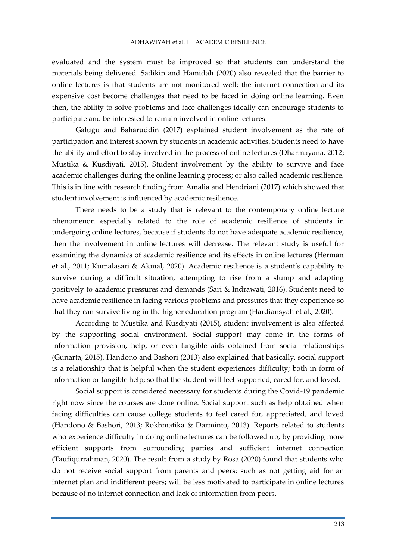evaluated and the system must be improved so that students can understand the materials being delivered. Sadikin and Hamidah (2020) also revealed that the barrier to online lectures is that students are not monitored well; the internet connection and its expensive cost become challenges that need to be faced in doing online learning. Even then, the ability to solve problems and face challenges ideally can encourage students to participate and be interested to remain involved in online lectures.

Galugu and Baharuddin (2017) explained student involvement as the rate of participation and interest shown by students in academic activities. Students need to have the ability and effort to stay involved in the process of online lectures (Dharmayana, 2012; Mustika & Kusdiyati, 2015). Student involvement by the ability to survive and face academic challenges during the online learning process; or also called academic resilience. This is in line with research finding from Amalia and Hendriani (2017) which showed that student involvement is influenced by academic resilience.

There needs to be a study that is relevant to the contemporary online lecture phenomenon especially related to the role of academic resilience of students in undergoing online lectures, because if students do not have adequate academic resilience, then the involvement in online lectures will decrease. The relevant study is useful for examining the dynamics of academic resilience and its effects in online lectures (Herman et al., 2011; Kumalasari & Akmal, 2020). Academic resilience is a student's capability to survive during a difficult situation, attempting to rise from a slump and adapting positively to academic pressures and demands (Sari & Indrawati, 2016). Students need to have academic resilience in facing various problems and pressures that they experience so that they can survive living in the higher education program (Hardiansyah et al., 2020).

According to Mustika and Kusdiyati (2015), student involvement is also affected by the supporting social environment. Social support may come in the forms of information provision, help, or even tangible aids obtained from social relationships (Gunarta, 2015). Handono and Bashori (2013) also explained that basically, social support is a relationship that is helpful when the student experiences difficulty; both in form of information or tangible help; so that the student will feel supported, cared for, and loved.

Social support is considered necessary for students during the Covid-19 pandemic right now since the courses are done online. Social support such as help obtained when facing difficulties can cause college students to feel cared for, appreciated, and loved (Handono & Bashori, 2013; Rokhmatika & Darminto, 2013). Reports related to students who experience difficulty in doing online lectures can be followed up, by providing more efficient supports from surrounding parties and sufficient internet connection (Taufiqurrahman, 2020). The result from a study by Rosa (2020) found that students who do not receive social support from parents and peers; such as not getting aid for an internet plan and indifferent peers; will be less motivated to participate in online lectures because of no internet connection and lack of information from peers.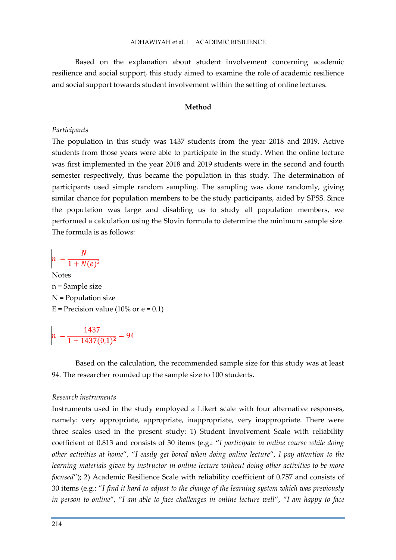Based on the explanation about student involvement concerning academic resilience and social support, this study aimed to examine the role of academic resilience and social support towards student involvement within the setting of online lectures.

## **Method**

#### *Participants*

The population in this study was 1437 students from the year 2018 and 2019. Active students from those years were able to participate in the study. When the online lecture was first implemented in the year 2018 and 2019 students were in the second and fourth semester respectively, thus became the population in this study. The determination of participants used simple random sampling. The sampling was done randomly, giving similar chance for population members to be the study participants, aided by SPSS. Since the population was large and disabling us to study all population members, we performed a calculation using the Slovin formula to determine the minimum sample size. The formula is as follows:

 $n = \frac{N}{1 + N(e)^2}$ 

Notes n = Sample size N = Population size  $E = Precision value (10\% or e = 0.1)$ 

 $n = \frac{1437}{1 + 1437(0.1)^2} = 94$ 

Based on the calculation, the recommended sample size for this study was at least 94. The researcher rounded up the sample size to 100 students.

#### *Research instruments*

Instruments used in the study employed a Likert scale with four alternative responses, namely: very appropriate, appropriate, inappropriate, very inappropriate. There were three scales used in the present study: 1) Student Involvement Scale with reliability coefficient of 0.813 and consists of 30 items (e.g.: "*I participate in online course while doing other activities at home*", "*I easily get bored when doing online lecture*", *I pay attention to the learning materials given by instructor in online lecture without doing other activities to be more focused*"); 2) Academic Resilience Scale with reliability coefficient of 0.757 and consists of 30 items (e.g.: "*I find it hard to adjust to the change of the learning system which was previously in person to online*", "*I am able to face challenges in online lecture well*", "*I am happy to face*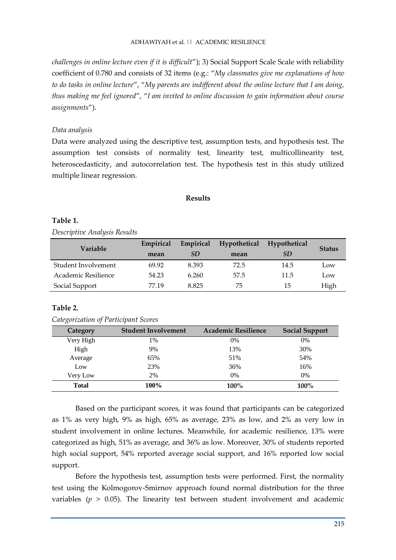# ADHAWIYAH et al. || ACADEMIC RESILIENCE

*challenges in online lecture even if it is difficult*"); 3) Social Support Scale Scale with reliability coefficient of 0.780 and consists of 32 items (e.g.: "*My classmates give me explanations of how to do tasks in online lecture*", "*My parents are indifferent about the online lecture that I am doing, thus making me feel ignored*", "*I am invited to online discussion to gain information about course assignments*").

# *Data analysis*

Data were analyzed using the descriptive test, assumption tests, and hypothesis test. The assumption test consists of normality test, linearity test, multicollinearity test, heteroscedasticity, and autocorrelation test. The hypothesis test in this study utilized multiple linear regression.

## **Results**

# **Table 1.**

*Descriptive Analysis Results*

| Variable            | Empirical | Empirical | Hypothetical | Hypothetical | <b>Status</b> |  |
|---------------------|-----------|-----------|--------------|--------------|---------------|--|
|                     | mean      | <i>SD</i> | mean         | SD           |               |  |
| Student Involvement | 69.92     | 8.393     | 72.5         | 14.5         | Low           |  |
| Academic Resilience | 54.23     | 6.260     | 57.5         | 11.5         | Low           |  |
| Social Support      | 77.19     | 8.825     | 75           | 15           | High          |  |

# **Table 2.**

## *Categorization of Participant Scores*

| <b>Category</b> | <b>Student Involvement</b> | <b>Academic Resilience</b> | <b>Social Support</b> |
|-----------------|----------------------------|----------------------------|-----------------------|
| Very High       | 1%                         | 0%                         | 0%                    |
| High            | 9%                         | 13%                        | 30%                   |
| Average         | 65%                        | 51%                        | 54%                   |
| Low             | 23%                        | 36%                        | 16%                   |
| Very Low        | 2%                         | 0%                         | $0\%$                 |
| <b>Total</b>    | 100%                       | 100%                       | 100%                  |

Based on the participant scores, it was found that participants can be categorized as 1% as very high, 9% as high, 65% as average, 23% as low, and 2% as very low in student involvement in online lectures. Meanwhile, for academic resilience, 13% were categorized as high, 51% as average, and 36% as low. Moreover, 30% of students reported high social support, 54% reported average social support, and 16% reported low social support.

Before the hypothesis test, assumption tests were performed. First, the normality test using the Kolmogorov-Smirnov approach found normal distribution for the three variables ( $p > 0.05$ ). The linearity test between student involvement and academic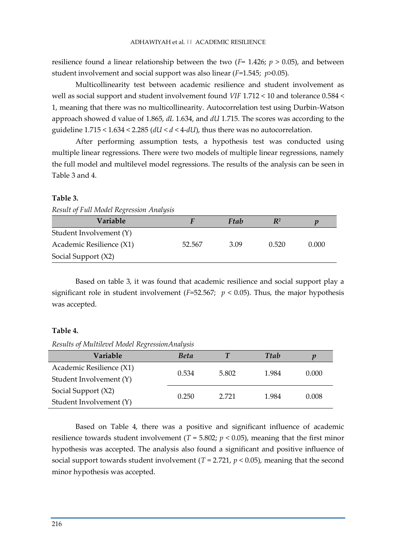resilience found a linear relationship between the two  $(F = 1.426; p > 0.05)$ , and between student involvement and social support was also linear (*F*=1.545; *p*>0.05).

Multicollinearity test between academic resilience and student involvement as well as social support and student involvement found *VIF* 1.712 < 10 and tolerance 0.584 < 1, meaning that there was no multicollinearity. Autocorrelation test using Durbin-Watson approach showed d value of 1.865, *dL* 1.634, and *dU* 1.715. The scores was according to the guideline  $1.715 < 1.634 < 2.285$  ( $dU < d < 4$ - $dU$ ), thus there was no autocorrelation.

After performing assumption tests, a hypothesis test was conducted using multiple linear regressions. There were two models of multiple linear regressions, namely the full model and multilevel model regressions. The results of the analysis can be seen in Table 3 and 4.

## **Table 3.**

| Result of Full Model Regression Analysis |
|------------------------------------------|
|                                          |

| <b>Variable</b>          |        | Ftab | $R^2$ | р     |
|--------------------------|--------|------|-------|-------|
| Student Involvement (Y)  |        |      |       |       |
| Academic Resilience (X1) | 52.567 | 3.09 | 0.520 | 0.000 |
| Social Support (X2)      |        |      |       |       |

Based on table 3, it was found that academic resilience and social support play a significant role in student involvement ( $F=52.567$ ;  $p < 0.05$ ). Thus, the major hypothesis was accepted.

# **Table 4.**

*Results of Multilevel Model RegressionAnalysis*

| Variable                 | <b>Beta</b> |       | <b>Ttab</b> | p     |
|--------------------------|-------------|-------|-------------|-------|
| Academic Resilience (X1) | 0.534       | 5.802 | 1.984       | 0.000 |
| Student Involvement (Y)  |             |       |             |       |
| Social Support (X2)      | 0.250       | 2.721 | 1.984       |       |
| Student Involvement (Y)  |             |       |             | 0.008 |

Based on Table 4, there was a positive and significant influence of academic resilience towards student involvement ( $T = 5.802$ ;  $p < 0.05$ ), meaning that the first minor hypothesis was accepted. The analysis also found a significant and positive influence of social support towards student involvement  $(T = 2.721, p \lt 0.05)$ , meaning that the second minor hypothesis was accepted.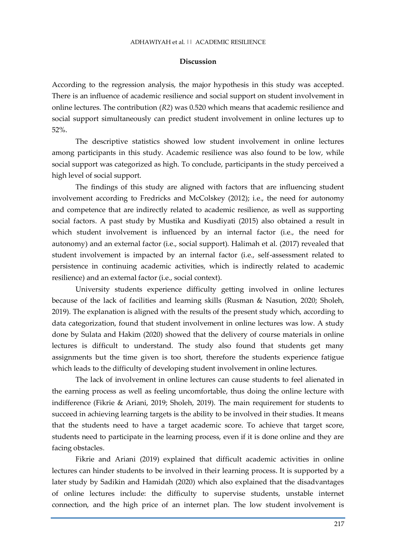#### **Discussion**

According to the regression analysis, the major hypothesis in this study was accepted. There is an influence of academic resilience and social support on student involvement in online lectures. The contribution (*R2*) was 0.520 which means that academic resilience and social support simultaneously can predict student involvement in online lectures up to 52%.

The descriptive statistics showed low student involvement in online lectures among participants in this study. Academic resilience was also found to be low, while social support was categorized as high. To conclude, participants in the study perceived a high level of social support.

The findings of this study are aligned with factors that are influencing student involvement according to Fredricks and McColskey (2012); i.e., the need for autonomy and competence that are indirectly related to academic resilience, as well as supporting social factors. A past study by Mustika and Kusdiyati (2015) also obtained a result in which student involvement is influenced by an internal factor (i.e., the need for autonomy) and an external factor (i.e., social support). Halimah et al. (2017) revealed that student involvement is impacted by an internal factor (i.e., self-assessment related to persistence in continuing academic activities, which is indirectly related to academic resilience) and an external factor (i.e., social context).

University students experience difficulty getting involved in online lectures because of the lack of facilities and learning skills (Rusman & Nasution, 2020; Sholeh, 2019). The explanation is aligned with the results of the present study which, according to data categorization, found that student involvement in online lectures was low. A study done by Sulata and Hakim (2020) showed that the delivery of course materials in online lectures is difficult to understand. The study also found that students get many assignments but the time given is too short, therefore the students experience fatigue which leads to the difficulty of developing student involvement in online lectures.

The lack of involvement in online lectures can cause students to feel alienated in the earning process as well as feeling uncomfortable, thus doing the online lecture with indifference (Fikrie & Ariani, 2019; Sholeh, 2019). The main requirement for students to succeed in achieving learning targets is the ability to be involved in their studies. It means that the students need to have a target academic score. To achieve that target score, students need to participate in the learning process, even if it is done online and they are facing obstacles.

Fikrie and Ariani (2019) explained that difficult academic activities in online lectures can hinder students to be involved in their learning process. It is supported by a later study by Sadikin and Hamidah (2020) which also explained that the disadvantages of online lectures include: the difficulty to supervise students, unstable internet connection, and the high price of an internet plan. The low student involvement is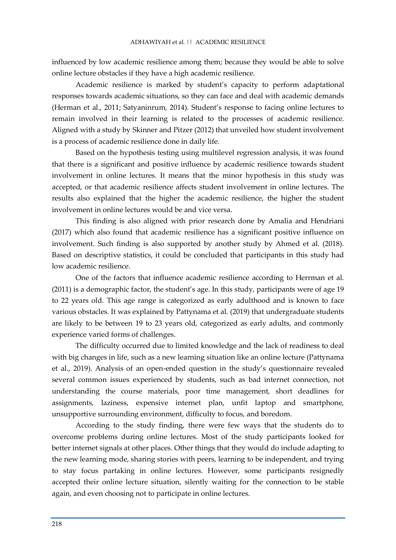influenced by low academic resilience among them; because they would be able to solve online lecture obstacles if they have a high academic resilience.

Academic resilience is marked by student's capacity to perform adaptational responses towards academic situations, so they can face and deal with academic demands (Herman et al., 2011; Satyaninrum, 2014). Student's response to facing online lectures to remain involved in their learning is related to the processes of academic resilience. Aligned with a study by Skinner and Pitzer (2012) that unveiled how student involvement is a process of academic resilience done in daily life.

Based on the hypothesis testing using multilevel regression analysis, it was found that there is a significant and positive influence by academic resilience towards student involvement in online lectures. It means that the minor hypothesis in this study was accepted, or that academic resilience affects student involvement in online lectures. The results also explained that the higher the academic resilience, the higher the student involvement in online lectures would be and vice versa.

This finding is also aligned with prior research done by Amalia and Hendriani (2017) which also found that academic resilience has a significant positive influence on involvement. Such finding is also supported by another study by Ahmed et al. (2018). Based on descriptive statistics, it could be concluded that participants in this study had low academic resilience.

One of the factors that influence academic resilience according to Herrman et al. (2011) is a demographic factor, the student's age. In this study, participants were of age 19 to 22 years old. This age range is categorized as early adulthood and is known to face various obstacles. It was explained by Pattynama et al. (2019) that undergraduate students are likely to be between 19 to 23 years old, categorized as early adults, and commonly experience varied forms of challenges.

The difficulty occurred due to limited knowledge and the lack of readiness to deal with big changes in life, such as a new learning situation like an online lecture (Pattynama et al., 2019). Analysis of an open-ended question in the study's questionnaire revealed several common issues experienced by students, such as bad internet connection, not understanding the course materials, poor time management, short deadlines for assignments, laziness, expensive internet plan, unfit laptop and smartphone, unsupportive surrounding environment, difficulty to focus, and boredom.

According to the study finding, there were few ways that the students do to overcome problems during online lectures. Most of the study participants looked for better internet signals at other places. Other things that they would do include adapting to the new learning mode, sharing stories with peers, learning to be independent, and trying to stay focus partaking in online lectures. However, some participants resignedly accepted their online lecture situation, silently waiting for the connection to be stable again, and even choosing not to participate in online lectures.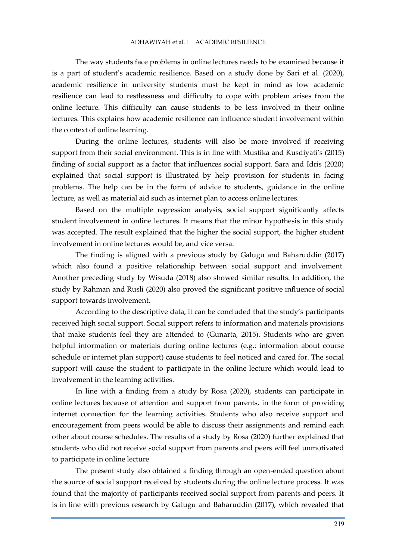The way students face problems in online lectures needs to be examined because it is a part of student's academic resilience. Based on a study done by Sari et al. (2020), academic resilience in university students must be kept in mind as low academic resilience can lead to restlessness and difficulty to cope with problem arises from the online lecture. This difficulty can cause students to be less involved in their online lectures. This explains how academic resilience can influence student involvement within the context of online learning.

During the online lectures, students will also be more involved if receiving support from their social environment. This is in line with Mustika and Kusdiyati's (2015) finding of social support as a factor that influences social support. Sara and Idris (2020) explained that social support is illustrated by help provision for students in facing problems. The help can be in the form of advice to students, guidance in the online lecture, as well as material aid such as internet plan to access online lectures.

Based on the multiple regression analysis, social support significantly affects student involvement in online lectures. It means that the minor hypothesis in this study was accepted. The result explained that the higher the social support, the higher student involvement in online lectures would be, and vice versa.

The finding is aligned with a previous study by Galugu and Baharuddin (2017) which also found a positive relationship between social support and involvement. Another preceding study by Wisuda (2018) also showed similar results. In addition, the study by Rahman and Rusli (2020) also proved the significant positive influence of social support towards involvement.

According to the descriptive data, it can be concluded that the study's participants received high social support. Social support refers to information and materials provisions that make students feel they are attended to (Gunarta, 2015). Students who are given helpful information or materials during online lectures (e.g.: information about course schedule or internet plan support) cause students to feel noticed and cared for. The social support will cause the student to participate in the online lecture which would lead to involvement in the learning activities.

In line with a finding from a study by Rosa (2020), students can participate in online lectures because of attention and support from parents, in the form of providing internet connection for the learning activities. Students who also receive support and encouragement from peers would be able to discuss their assignments and remind each other about course schedules. The results of a study by Rosa (2020) further explained that students who did not receive social support from parents and peers will feel unmotivated to participate in online lecture

The present study also obtained a finding through an open-ended question about the source of social support received by students during the online lecture process. It was found that the majority of participants received social support from parents and peers. It is in line with previous research by Galugu and Baharuddin (2017), which revealed that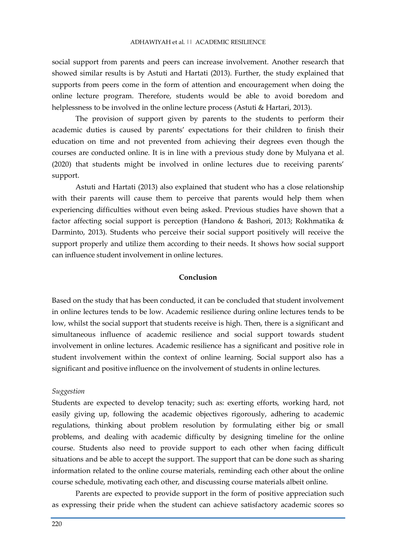social support from parents and peers can increase involvement. Another research that showed similar results is by Astuti and Hartati (2013). Further, the study explained that supports from peers come in the form of attention and encouragement when doing the online lecture program. Therefore, students would be able to avoid boredom and helplessness to be involved in the online lecture process (Astuti & Hartari, 2013).

The provision of support given by parents to the students to perform their academic duties is caused by parents' expectations for their children to finish their education on time and not prevented from achieving their degrees even though the courses are conducted online. It is in line with a previous study done by Mulyana et al. (2020) that students might be involved in online lectures due to receiving parents' support.

Astuti and Hartati (2013) also explained that student who has a close relationship with their parents will cause them to perceive that parents would help them when experiencing difficulties without even being asked. Previous studies have shown that a factor affecting social support is perception (Handono & Bashori, 2013; Rokhmatika & Darminto, 2013). Students who perceive their social support positively will receive the support properly and utilize them according to their needs. It shows how social support can influence student involvement in online lectures.

## **Conclusion**

Based on the study that has been conducted, it can be concluded that student involvement in online lectures tends to be low. Academic resilience during online lectures tends to be low, whilst the social support that students receive is high. Then, there is a significant and simultaneous influence of academic resilience and social support towards student involvement in online lectures. Academic resilience has a significant and positive role in student involvement within the context of online learning. Social support also has a significant and positive influence on the involvement of students in online lectures.

#### *Suggestion*

Students are expected to develop tenacity; such as: exerting efforts, working hard, not easily giving up, following the academic objectives rigorously, adhering to academic regulations, thinking about problem resolution by formulating either big or small problems, and dealing with academic difficulty by designing timeline for the online course. Students also need to provide support to each other when facing difficult situations and be able to accept the support. The support that can be done such as sharing information related to the online course materials, reminding each other about the online course schedule, motivating each other, and discussing course materials albeit online.

Parents are expected to provide support in the form of positive appreciation such as expressing their pride when the student can achieve satisfactory academic scores so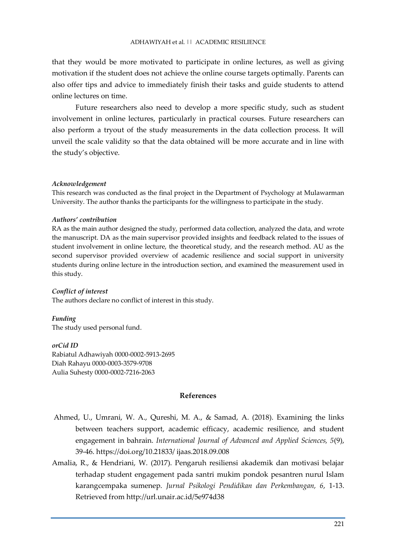that they would be more motivated to participate in online lectures, as well as giving motivation if the student does not achieve the online course targets optimally. Parents can also offer tips and advice to immediately finish their tasks and guide students to attend online lectures on time.

Future researchers also need to develop a more specific study, such as student involvement in online lectures, particularly in practical courses. Future researchers can also perform a tryout of the study measurements in the data collection process. It will unveil the scale validity so that the data obtained will be more accurate and in line with the study's objective.

## *Acknowledgement*

This research was conducted as the final project in the Department of Psychology at Mulawarman University. The author thanks the participants for the willingness to participate in the study.

#### *Authors' contribution*

RA as the main author designed the study, performed data collection, analyzed the data, and wrote the manuscript. DA as the main supervisor provided insights and feedback related to the issues of student involvement in online lecture, the theoretical study, and the research method. AU as the second supervisor provided overview of academic resilience and social support in university students during online lecture in the introduction section, and examined the measurement used in this study.

#### *Conflict of interest*

The authors declare no conflict of interest in this study.

*Funding*

The study used personal fund.

*orCid ID* Rabiatul Adhawiyah 0000-0002-5913-2695 Diah Rahayu 0000-0003-3579-9708

Aulia Suhesty 0000-0002-7216-2063

**References**

- Ahmed, U., Umrani, W. A., Qureshi, M. A., & Samad, A. (2018). Examining the links between teachers support, academic efficacy, academic resilience, and student engagement in bahrain. *International Journal of Advanced and Applied Sciences, 5*(9), 39-46. https://doi.org/10.21833/ ijaas.2018.09.008
- Amalia, R., & Hendriani, W. (2017). Pengaruh resiliensi akademik dan motivasi belajar terhadap student engagement pada santri mukim pondok pesantren nurul Islam karangcempaka sumenep. *Jurnal Psikologi Pendidikan dan Perkembangan, 6*, 1-13. Retrieved from http://url.unair.ac.id/5e974d38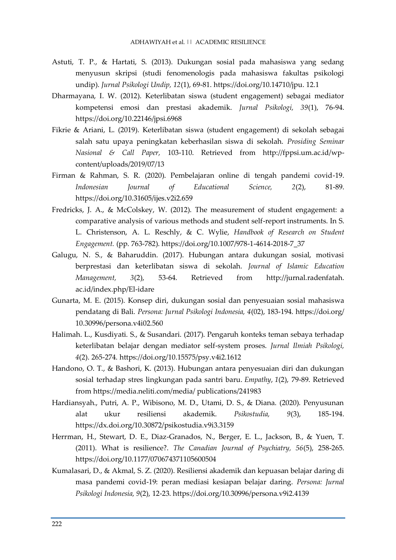- Astuti, T. P., & Hartati, S. (2013). Dukungan sosial pada mahasiswa yang sedang menyusun skripsi (studi fenomenologis pada mahasiswa fakultas psikologi undip). *Jurnal Psikologi Undip, 12*(1), 69-81. https://doi.org/10.14710/jpu. 12.1
- Dharmayana, I. W. (2012). Keterlibatan siswa (student engagement) sebagai mediator kompetensi emosi dan prestasi akademik. *Jurnal Psikologi, 39*(1), 76-94. https://doi.org/10.22146/jpsi.6968
- Fikrie & Ariani, L. (2019). Keterlibatan siswa (student engagement) di sekolah sebagai salah satu upaya peningkatan keberhasilan siswa di sekolah. *Prosiding Seminar Nasional & Call Paper,* 103-110. Retrieved from http://fppsi.um.ac.id/wpcontent/uploads/2019/07/13
- Firman & Rahman, S. R. (2020). Pembelajaran online di tengah pandemi covid-19. *Indonesian Journal of Educational Science, 2*(2), 81-89. https://doi.org/10.31605/ijes.v2i2.659
- Fredricks, J. A., & McColskey, W. (2012). The measurement of student engagement: a comparative analysis of various methods and student self-report instruments. In S. L. Christenson, A. L. Reschly, & C. Wylie, *Handbook of Research on Student Engagement.* (pp. 763-782). https://doi.org/10.1007/978-1-4614-2018-7\_37
- Galugu, N. S., & Baharuddin. (2017). Hubungan antara dukungan sosial, motivasi berprestasi dan keterlibatan siswa di sekolah. *Journal of Islamic Education Management, 3*(2), 53-64. Retrieved from http://jurnal.radenfatah. ac.id/index.php/El-idare
- Gunarta, M. E. (2015). Konsep diri, dukungan sosial dan penyesuaian sosial mahasiswa pendatang di Bali. *Persona: Jurnal Psikologi Indonesia, 4*(02), 183-194. https://doi.org/ 10.30996/persona.v4i02.560
- Halimah. L., Kusdiyati. S., & Susandari. (2017). Pengaruh konteks teman sebaya terhadap keterlibatan belajar dengan mediator self-system proses. *Jurnal Ilmiah Psikologi, 4*(2). 265-274. https://doi.org/10.15575/psy.v4i2.1612
- Handono, O. T., & Bashori, K. (2013). Hubungan antara penyesuaian diri dan dukungan sosial terhadap stres lingkungan pada santri baru. *Empathy*, *1*(2), 79-89. Retrieved from https://media.neliti.com/media/ publications/241983
- Hardiansyah., Putri, A. P., Wibisono, M. D., Utami, D. S., & Diana. (2020). Penyusunan alat ukur resiliensi akademik. *Psikostudia, 9*(3), 185-194. https://dx.doi.org/10.30872/psikostudia.v9i3.3159
- Herrman, H., Stewart, D. E., Diaz-Granados, N., Berger, E. L., Jackson, B., & Yuen, T. (2011). What is resilience?. *The Canadian Journal of Psychiatry, 56*(5), 258-265. https://doi.org/10.1177/070674371105600504
- Kumalasari, D., & Akmal, S. Z. (2020). Resiliensi akademik dan kepuasan belajar daring di masa pandemi covid-19: peran mediasi kesiapan belajar daring. *Persona: Jurnal Psikologi Indonesia, 9*(2), 12-23. https://doi.org/10.30996/persona.v9i2.4139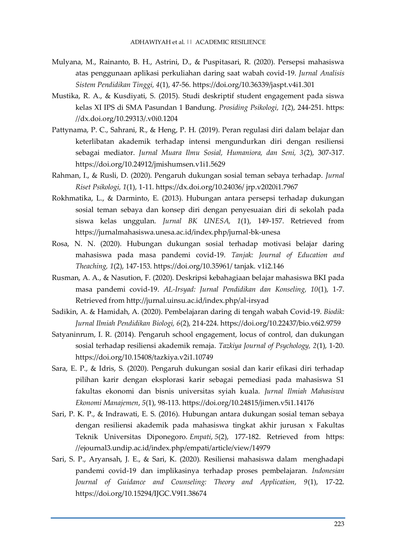- Mulyana, M., Rainanto, B. H., Astrini, D., & Puspitasari, R. (2020). Persepsi mahasiswa atas penggunaan aplikasi perkuliahan daring saat wabah covid-19. *Jurnal Analisis Sistem Pendidikan Tinggi, 4*(1), 47-56. https://doi.org/10.36339/jaspt.v4i1.301
- Mustika, R. A., & Kusdiyati, S. (2015). Studi deskriptif student engagement pada siswa kelas XI IPS di SMA Pasundan 1 Bandung. *Prosiding Psikologi, 1*(2), 244-251. https: //dx.doi.org/10.29313/.v0i0.1204
- Pattynama, P. C., Sahrani, R., & Heng, P. H. (2019). Peran regulasi diri dalam belajar dan keterlibatan akademik terhadap intensi mengundurkan diri dengan resiliensi sebagai mediator. *Jurnal Muara Ilmu Sosial, Humaniora, dan Seni, 3*(2), 307-317. https://doi.org/10.24912/jmishumsen.v1i1.5629
- Rahman, I., & Rusli, D. (2020). Pengaruh dukungan sosial teman sebaya terhadap. *Jurnal Riset Psikologi, 1*(1), 1-11. https://dx.doi.org/10.24036/ jrp.v2020i1.7967
- Rokhmatika, L., & Darminto, E. (2013). Hubungan antara persepsi terhadap dukungan sosial teman sebaya dan konsep diri dengan penyesuaian diri di sekolah pada siswa kelas unggulan. *Jurnal BK UNESA, 1*(1), 149-157. Retrieved from https://jurnalmahasiswa.unesa.ac.id/index.php/jurnal-bk-unesa
- Rosa, N. N. (2020). Hubungan dukungan sosial terhadap motivasi belajar daring mahasiswa pada masa pandemi covid-19. *Tanjak: Journal of Education and Theaching, 1*(2), 147-153. https://doi.org/10.35961/ tanjak. v1i2.146
- Rusman, A. A., & Nasution, F. (2020). Deskripsi kebahagiaan belajar mahasiswa BKI pada masa pandemi covid-19. *AL-Irsyad: Jurnal Pendidikan dan Konseling, 10*(1), 1-7. Retrieved from http://jurnal.uinsu.ac.id/index.php/al-irsyad
- Sadikin, A. & Hamidah, A. (2020). Pembelajaran daring di tengah wabah Covid-19. *Biodik: Jurnal Ilmiah Pendidikan Biologi, 6*(2), 214-224. https://doi.org/10.22437/bio.v6i2.9759
- Satyaninrum, I. R. (2014). Pengaruh school engagement, locus of control, dan dukungan sosial terhadap resiliensi akademik remaja. *Tazkiya Journal of Psychology, 2*(1), 1-20. https://doi.org/10.15408/tazkiya.v2i1.10749
- Sara, E. P., & Idris, S. (2020). Pengaruh dukungan sosial dan karir efikasi diri terhadap pilihan karir dengan eksplorasi karir sebagai pemediasi pada mahasiswa S1 fakultas ekonomi dan bisnis universitas syiah kuala. *Jurnal Ilmiah Mahasiswa Ekonomi Manajemen*, *5*(1), 98-113. https://doi.org/10.24815/jimen.v5i1.14176
- Sari, P. K. P., & Indrawati, E. S. (2016). Hubungan antara dukungan sosial teman sebaya dengan resiliensi akademik pada mahasiswa tingkat akhir jurusan x Fakultas Teknik Universitas Diponegoro. *Empati*, *5*(2), 177-182. Retrieved from https: //ejournal3.undip.ac.id/index.php/empati/article/view/14979
- Sari, S. P., Aryansah, J. E., & Sari, K. (2020). Resiliensi mahasiswa dalam menghadapi pandemi covid-19 dan implikasinya terhadap proses pembelajaran*. Indonesian Journal of Guidance and Counseling: Theory and Application, 9*(1), 17-22. https://doi.org/10.15294/IJGC.V9I1.38674